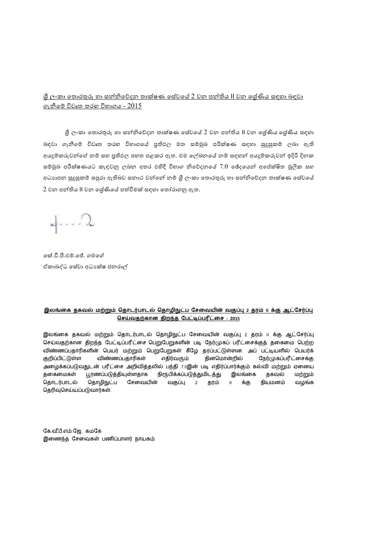#### <u>ශී ලංකා තොරතුරු හා සන්නිවේදන තාක්ෂණ සේවයේ 2 වන පන්තිය II වන ශේුණිය සඳහා බඳවා</u> ගැනීමේ විවෘත තරහ විභාගය -  $2015$

ශී ලංකා තොරතුරු හා සන්නිවේදන තාක්ෂණ සේවයේ 2 වන පන්තිය II වන ශේණිය ශේණිය සඳහා බඳවා ගැනීමේ විවෘත තරහ විහාගයේ පුතිඵල මත සම්මුඛ පරීක්ෂණ සඳහා සුදුසුකම් ලබා ඇති අයදුම්කරුවන්ගේ නම් සහ පුතිඵල පහත පළකර ඇත. එම ලේඛනයේ නම් සඳහන් අයදුම්කරුවන් ඉදිරි දිනක සම්මුඛ පරීක්ෂණයට කැඳවනු ලබන අතර එහිදී විහාග නිවේදනයේ 7.0 ඡේදයෙන් අපේක්ෂිත මූලික සහ අධාහපන සුදුසුකම් සපුරා ඇතිබව සනාථ වන්නේ නම් ශී ලංකා තොරතුරු හා සන්නිවේදන තාක්ෂණ සේවයේ 2 වන පන්තිය II වන ශේණියේ පත්වීමක් සඳහා තෝරාගනු ඇත.

 $\overline{\phantom{a}}$ 

කේ.වී.පී.එම්.ජේ. ගමගේ ඒකාබද්ධ සේවා අධා ක්ෂ ජනරාල්

#### <u>இலங்கை தகவல் மற்றும் தொடர்பாடல் தொழிநுட்ப சேவையின் வகுப்பு 2 தரம் ။ க்கு ஆட்சேர்ப்பு</u> செய்வதற்கான திறந்த பேட்டிப்பரீட்சை - 2015

இலங்கை தகவல் மற்றும் தொடர்பாடல் தொழிநுட்ப சேவையின் வகுப்பு 2 தரம் ။ க்கு ஆட்சேர்ப்பு செய்வதற்கான திறந்த பேட்டிப்பரீட்சை பெறுபேறுகளின் படி நேர்முகப் பரீட்சைக்குத் தகைமை பெற்ற விண்ணப்பதாரிகளின் பெயர் மற்றும் பெறுபேறுகள் கீழே தரப்பட்டுள்ளன. அப் பட்டியளில் பெயர்க் விண்ணப்பதாரிகள் குறிப்பிட்டுள்ள எதிர்வரும் தினமொன்றில் நேர்முகப்பரீட்சைக்கு அழைக்கப்படுவதுடன் பரீட்சை அறிவித்தலில் பந்தி 7.0இன் படி எதிர்ப்பார்க்கும் கல்வி மற்றும் ஏனைய பூரணப்படுத்தியுள்ளதாக நிரூபிக்கப்படுத்துமிடத்து இலங்கை தகவல் ககைமைகள் மற்றும் தொடர்பாடல் தொழிநுட்ப சேவையின் வகுப்பு 2 தரம் ။ க்கு நியமனம் வழங்க தெரிவுசெய்யப்படுவார்கள்.

கே.வீ.பீ.எம்.ஜே. கமகே இணைந்த சேவைகள் பணிப்பாளர் நாயகம்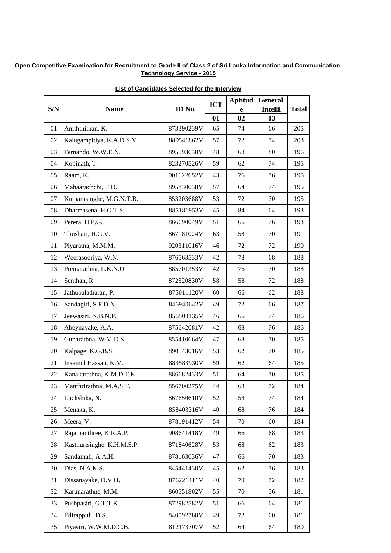| S/N | <b>Name</b>                | ID No.     | <b>ICT</b> | <b>Aptitud</b> | <b>General</b><br>Intelli. | <b>Total</b> |
|-----|----------------------------|------------|------------|----------------|----------------------------|--------------|
|     |                            |            | 01         | e<br>02        | 03                         |              |
| 01  | Aniththithan, K.           | 873390239V | 65         | 74             | 66                         | 205          |
| 02  | Kalugampitiya, K.A.D.S.M.  | 880541862V | 57         | 72             | 74                         | 203          |
| 03  | Fernando, W.W.E.N.         | 895593630V | 48         | 68             | 80                         | 196          |
| 04  | Kopinath, T.               | 823270526V | 59         | 62             | 74                         | 195          |
| 05  | Raam, K.                   | 901122652V | 43         | 76             | 76                         | 195          |
| 06  | Mahaarachchi, T.D.         | 895830038V | 57         | 64             | 74                         | 195          |
| 07  | Kumarasinghe, M.G.N.T.B.   | 853203688V | 53         | 72             | 70                         | 195          |
| 08  | Dharmasena, H.G.T.S.       | 885181953V | 45         | 84             | 64                         | 193          |
| 09  | Perera, H.P.G.             | 866690049V | 51         | 66             | 76                         | 193          |
| 10  | Thushari, H.G.V.           | 867181024V | 63         | 58             | 70                         | 191          |
| 11  | Piyaratna, M.M.M.          | 920311016V | 46         | 72             | 72                         | 190          |
| 12  | Weerasooriya, W.N.         | 876563533V | 42         | 78             | 68                         | 188          |
| 13  | Premarathna, L.K.N.U.      | 885701353V | 42         | 76             | 70                         | 188          |
| 14  | Senthan, R.                | 872520830V | 58         | 58             | 72                         | 188          |
| 15  | Jathubalatharan, P.        | 875011120V | 60         | 66             | 62                         | 188          |
| 16  | Sandagiri, S.P.D.N.        | 846940642V | 49         | 72             | 66                         | 187          |
| 17  | Jeewasiri, N.B.N.P.        | 856503135V | 46         | 66             | 74                         | 186          |
| 18  | Abeynayake, A.A.           | 875642081V | 42         | 68             | 76                         | 186          |
| 19  | Gunarathna, W.M.D.S.       | 855410664V | 47         | 68             | 70                         | 185          |
| 20  | Kalpage, K.G.B.S.          | 890143016V | 53         | 62             | 70                         | 185          |
| 21  | Inaamul Hassan, K.M.       | 883583930V | 59         | 62             | 64                         | 185          |
| 22  | Kanakarathna, K.M.D.T.K.   | 886682433V | 51         | 64             | 70                         | 185          |
| 23  | Manthrirathna, M.A.S.T.    | 856700275V | 44         | 68             | 72                         | 184          |
| 24  | Luckshika, N.              | 867650610V | 52         | 58             | 74                         | 184          |
| 25  | Menaka, K.                 | 858403316V | 40         | 68             | 76                         | 184          |
| 26  | Meera, V.                  | 878191412V | 54         | 70             | 60                         | 184          |
| 27  | Rajamanthree, K.R.A.P.     | 908641418V | 49         | 66             | 68                         | 183          |
| 28  | Kasthurisinghe, K.H.M.S.P. | 871840628V | 53         | 68             | 62                         | 183          |
| 29  | Sandamali, A.A.H.          | 878163036V | 47         | 66             | 70                         | 183          |
| 30  | Dias, N.A.K.S.             | 845441430V | 45         | 62             | 76                         | 183          |
| 31  | Dissanayake, D.V.H.        | 876221411V | 40         | 70             | 72                         | 182          |
| 32  | Karunarathne, M.M.         | 860551802V | 55         | 70             | 56                         | 181          |
| 33  | Pushpasiri, G.T.T.K.       | 872982582V | 51         | 66             | 64                         | 181          |
| 34  | Edirappuli, D.S.           | 840092780V | 49         | 72             | 60                         | 181          |
| 35  | Piyasiri, W.W.M.D.C.B.     | 812173707V | 52         | 64             | 64                         | 180          |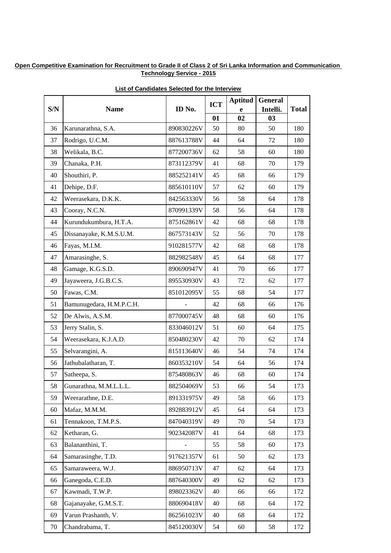| S/N | <b>Name</b>              | ID No.     | <b>ICT</b> | <b>Aptitud</b> | <b>General</b><br>Intelli. | <b>Total</b> |
|-----|--------------------------|------------|------------|----------------|----------------------------|--------------|
|     |                          |            | 01         | e<br>02        | 03                         |              |
| 36  | Karunarathna, S.A.       | 890830226V | 50         | 80             | 50                         | 180          |
| 37  | Rodrigo, U.C.M.          | 887613788V | 44         | 64             | 72                         | 180          |
| 38  | Welikala, B.C.           | 877200736V | 62         | 58             | 60                         | 180          |
| 39  | Chanaka, P.H.            | 873112379V | 41         | 68             | 70                         | 179          |
| 40  | Shouthiri, P.            | 885252141V | 45         | 68             | 66                         | 179          |
| 41  | Dehipe, D.F.             | 885610110V | 57         | 62             | 60                         | 179          |
| 42  | Weerasekara, D.K.K.      | 842563330V | 56         | 58             | 64                         | 178          |
| 43  | Cooray, N.C.N.           | 870991339V | 58         | 56             | 64                         | 178          |
| 44  | Kurundukumbura, H.T.A.   | 875162861V | 42         | 68             | 68                         | 178          |
| 45  | Dissanayake, K.M.S.U.M.  | 867573143V | 52         | 56             | 70                         | 178          |
| 46  | Fayas, M.I.M.            | 910281577V | 42         | 68             | 68                         | 178          |
| 47  | Amarasinghe, S.          | 882982548V | 45         | 64             | 68                         | 177          |
| 48  | Gamage, K.G.S.D.         | 890690947V | 41         | 70             | 66                         | 177          |
| 49  | Jayaweera, J.G.B.C.S.    | 895530930V | 43         | 72             | 62                         | 177          |
| 50  | Fawas, C.M.              | 851012095V | 55         | 68             | 54                         | 177          |
| 51  | Bamunugedara, H.M.P.C.H. |            | 42         | 68             | 66                         | 176          |
| 52  | De Alwis, A.S.M.         | 877000745V | 48         | 68             | 60                         | 176          |
| 53  | Jerry Stalin, S.         | 833046012V | 51         | 60             | 64                         | 175          |
| 54  | Weerasekara, K.J.A.D.    | 850480230V | 42         | 70             | 62                         | 174          |
| 55  | Selvarangini, A.         | 815113640V | 46         | 54             | 74                         | 174          |
| 56  | Jathubalatharan, T.      | 860353210V | 54         | 64             | 56                         | 174          |
| 57  | Satheepa, S.             | 875480863V | 46         | 68             | 60                         | 174          |
| 58  | Gunarathna, M.M.L.L.L.   | 882504069V | 53         | 66             | 54                         | 173          |
| 59  | Weerarathne, D.E.        | 891331975V | 49         | 58             | 66                         | 173          |
| 60  | Mafaz, M.M.M.            | 892883912V | 45         | 64             | 64                         | 173          |
| 61  | Tennakoon, T.M.P.S.      | 847040319V | 49         | 70             | 54                         | 173          |
| 62  | Ketharan, G.             | 902342087V | 41         | 64             | 68                         | 173          |
| 63  | Balananthini, T.         |            | 55         | 58             | 60                         | 173          |
| 64  | Samarasinghe, T.D.       | 917621357V | 61         | 50             | 62                         | 173          |
| 65  | Samaraweera, W.J.        | 886950713V | 47         | 62             | 64                         | 173          |
| 66  | Ganegoda, C.E.D.         | 887640300V | 49         | 62             | 62                         | 173          |
| 67  | Kawmadi, T.W.P.          | 898023362V | 40         | 66             | 66                         | 172          |
| 68  | Gajanayake, G.M.S.T.     | 880690418V | 40         | 68             | 64                         | 172          |
| 69  | Varun Prashanth, V.      | 862561023V | 40         | 68             | 64                         | 172          |
| 70  | Chandrabama, T.          | 845120030V | 54         | 60             | 58                         | 172          |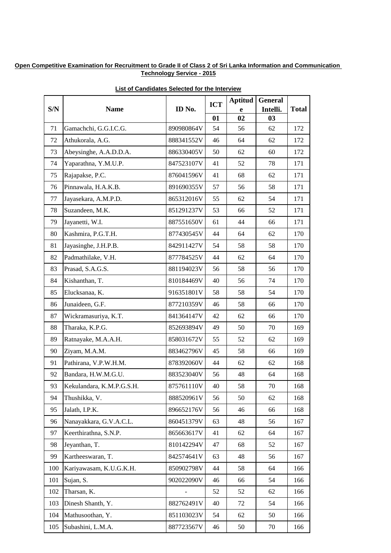| S/N | <b>Name</b>               | ID No.     | <b>ICT</b> | <b>Aptitud</b> | <b>General</b><br>Intelli. | <b>Total</b> |
|-----|---------------------------|------------|------------|----------------|----------------------------|--------------|
|     |                           |            | 01         | e<br>02        | 03                         |              |
| 71  | Gamachchi, G.G.I.C.G.     | 890980864V | 54         | 56             | 62                         | 172          |
| 72  | Athukorala, A.G.          | 888341552V | 46         | 64             | 62                         | 172          |
| 73  | Abeysinghe, A.A.D.D.A.    | 886330405V | 50         | 62             | 60                         | 172          |
| 74  | Yaparathna, Y.M.U.P.      | 847523107V | 41         | 52             | 78                         | 171          |
| 75  | Rajapakse, P.C.           | 876041596V | 41         | 68             | 62                         | 171          |
| 76  | Pinnawala, H.A.K.B.       | 891690355V | 57         | 56             | 58                         | 171          |
| 77  | Jayasekara, A.M.P.D.      | 865312016V | 55         | 62             | 54                         | 171          |
| 78  | Suzandeen, M.K.           | 851291237V | 53         | 66             | 52                         | 171          |
| 79  | Jayanetti, W.I.           | 887551650V | 61         | 44             | 66                         | 171          |
| 80  | Kashmira, P.G.T.H.        | 877430545V | 44         | 64             | 62                         | 170          |
| 81  | Jayasinghe, J.H.P.B.      | 842911427V | 54         | 58             | 58                         | 170          |
| 82  | Padmathilake, V.H.        | 877784525V | 44         | 62             | 64                         | 170          |
| 83  | Prasad, S.A.G.S.          | 881194023V | 56         | 58             | 56                         | 170          |
| 84  | Kishanthan, T.            | 810184469V | 40         | 56             | 74                         | 170          |
| 85  | Elucksanaa, K.            | 916351801V | 58         | 58             | 54                         | 170          |
| 86  | Junaideen, G.F.           | 877210359V | 46         | 58             | 66                         | 170          |
| 87  | Wickramasuriya, K.T.      | 841364147V | 42         | 62             | 66                         | 170          |
| 88  | Tharaka, K.P.G.           | 852693894V | 49         | 50             | 70                         | 169          |
| 89  | Ratnayake, M.A.A.H.       | 858031672V | 55         | 52             | 62                         | 169          |
| 90  | Ziyam, M.A.M.             | 883462796V | 45         | 58             | 66                         | 169          |
| 91  | Pathirana, V.P.W.H.M.     | 878392060V | 44         | 62             | 62                         | 168          |
| 92  | Bandara, H.W.M.G.U.       | 883523040V | 56         | 48             | 64                         | 168          |
| 93  | Kekulandara, K.M.P.G.S.H. | 875761110V | 40         | 58             | 70                         | 168          |
| 94  | Thushikka, V.             | 888520961V | 56         | 50             | 62                         | 168          |
| 95  | Jalath, I.P.K.            | 896652176V | 56         | 46             | 66                         | 168          |
| 96  | Nanayakkara, G.V.A.C.L.   | 860451379V | 63         | 48             | 56                         | 167          |
| 97  | Keerthirathna, S.N.P.     | 865663617V | 41         | 62             | 64                         | 167          |
| 98  | Jeyanthan, T.             | 810142294V | 47         | 68             | 52                         | 167          |
| 99  | Kartheeswaran, T.         | 842574641V | 63         | 48             | 56                         | 167          |
| 100 | Kariyawasam, K.U.G.K.H.   | 850902798V | 44         | 58             | 64                         | 166          |
| 101 | Sujan, S.                 | 902022090V | 46         | 66             | 54                         | 166          |
| 102 | Tharsan, K.               |            | 52         | 52             | 62                         | 166          |
| 103 | Dinesh Shanth, Y.         | 882762491V | 40         | 72             | 54                         | 166          |
| 104 | Mathusoothan, Y.          | 851103023V | 54         | 62             | 50                         | 166          |
| 105 | Subashini, L.M.A.         | 887723567V | 46         | 50             | 70                         | 166          |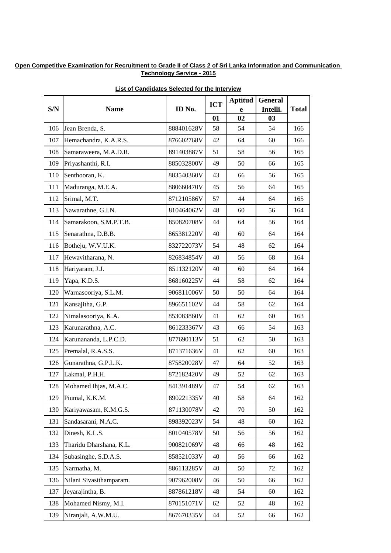|     | <b>Name</b>             | ID No.     | <b>ICT</b> | <b>Aptitud</b> | <b>General</b> |              |
|-----|-------------------------|------------|------------|----------------|----------------|--------------|
| S/N |                         |            | 01         | e<br>02        | Intelli.<br>03 | <b>Total</b> |
| 106 | Jean Brenda, S.         | 888401628V | 58         | 54             | 54             | 166          |
| 107 | Hemachandra, K.A.R.S.   | 876602768V | 42         | 64             | 60             | 166          |
| 108 | Samaraweera, M.A.D.R.   | 891403887V | 51         | 58             | 56             | 165          |
| 109 | Priyashanthi, R.I.      | 885032800V | 49         | 50             | 66             | 165          |
| 110 | Senthooran, K.          | 883540360V | 43         | 66             | 56             | 165          |
| 111 | Maduranga, M.E.A.       | 880660470V | 45         | 56             | 64             | 165          |
| 112 | Srimal, M.T.            | 871210586V | 57         | 44             | 64             | 165          |
| 113 | Nawarathne, G.I.N.      | 810464062V | 48         | 60             | 56             | 164          |
| 114 | Samarakoon, S.M.P.T.B.  | 850820708V | 44         | 64             | 56             | 164          |
| 115 | Senarathna, D.B.B.      | 865381220V | 40         | 60             | 64             | 164          |
| 116 | Botheju, W.V.U.K.       | 832722073V | 54         | 48             | 62             | 164          |
| 117 | Hewavitharana, N.       | 826834854V | 40         | 56             | 68             | 164          |
| 118 | Hariyaram, J.J.         | 851132120V | 40         | 60             | 64             | 164          |
| 119 | Yapa, K.D.S.            | 868160225V | 44         | 58             | 62             | 164          |
| 120 | Warnasooriya, S.L.M.    | 906811006V | 50         | 50             | 64             | 164          |
| 121 | Kansajitha, G.P.        | 896651102V | 44         | 58             | 62             | 164          |
| 122 | Nimalasooriya, K.A.     | 853083860V | 41         | 62             | 60             | 163          |
| 123 | Karunarathna, A.C.      | 861233367V | 43         | 66             | 54             | 163          |
| 124 | Karunananda, L.P.C.D.   | 877690113V | 51         | 62             | 50             | 163          |
| 125 | Premalal, R.A.S.S.      | 871371636V | 41         | 62             | 60             | 163          |
| 126 | Gunarathna, G.P.L.K.    | 875820028V | 47         | 64             | 52             | 163          |
| 127 | Lakmal, P.H.H.          | 872182420V | 49         | 52             | 62             | 163          |
| 128 | Mohamed Ihjas, M.A.C.   | 841391489V | 47         | 54             | 62             | 163          |
| 129 | Piumal, K.K.M.          | 890221335V | 40         | 58             | 64             | 162          |
| 130 | Kariyawasam, K.M.G.S.   | 871130078V | 42         | 70             | 50             | 162          |
| 131 | Sandasarani, N.A.C.     | 898392023V | 54         | 48             | 60             | 162          |
| 132 | Dinesh, K.L.S.          | 801040578V | 50         | 56             | 56             | 162          |
| 133 | Tharidu Dharshana, K.L. | 900821069V | 48         | 66             | 48             | 162          |
| 134 | Subasinghe, S.D.A.S.    | 858521033V | 40         | 56             | 66             | 162          |
| 135 | Narmatha, M.            | 886113285V | 40         | 50             | 72             | 162          |
| 136 | Nilani Sivasithamparam. | 907962008V | 46         | 50             | 66             | 162          |
| 137 | Jeyarajintha, B.        | 887861218V | 48         | 54             | 60             | 162          |
| 138 | Mohamed Nismy, M.I.     | 870151071V | 62         | 52             | 48             | 162          |
| 139 | Niranjali, A.W.M.U.     | 867670335V | 44         | 52             | 66             | 162          |